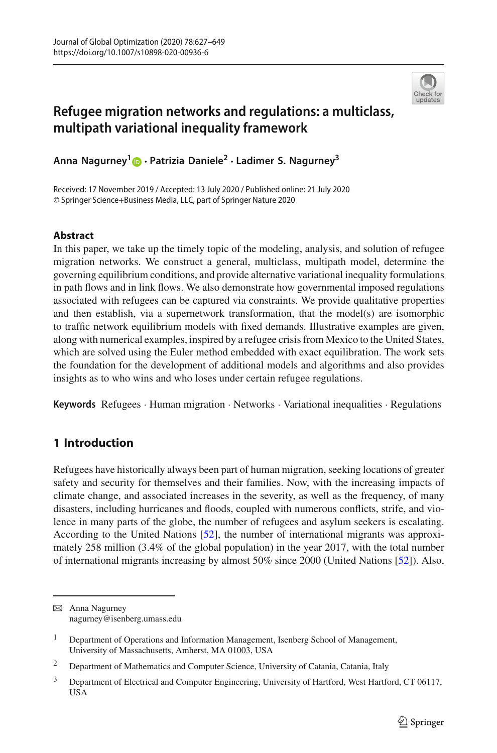

# **Refugee migration networks and regulations: a multiclass, multipath variational inequality framework**

**Anna Nagurney[1](http://orcid.org/0000-0002-1645-5363) · Patrizia Daniele<sup>2</sup> · Ladimer S. Nagurney<sup>3</sup>**

Received: 17 November 2019 / Accepted: 13 July 2020 / Published online: 21 July 2020 © Springer Science+Business Media, LLC, part of Springer Nature 2020

### **Abstract**

In this paper, we take up the timely topic of the modeling, analysis, and solution of refugee migration networks. We construct a general, multiclass, multipath model, determine the governing equilibrium conditions, and provide alternative variational inequality formulations in path flows and in link flows. We also demonstrate how governmental imposed regulations associated with refugees can be captured via constraints. We provide qualitative properties and then establish, via a supernetwork transformation, that the model(s) are isomorphic to traffic network equilibrium models with fixed demands. Illustrative examples are given, along with numerical examples, inspired by a refugee crisis from Mexico to the United States, which are solved using the Euler method embedded with exact equilibration. The work sets the foundation for the development of additional models and algorithms and also provides insights as to who wins and who loses under certain refugee regulations.

**Keywords** Refugees · Human migration · Networks · Variational inequalities · Regulations

## **1 Introduction**

Refugees have historically always been part of human migration, seeking locations of greater safety and security for themselves and their families. Now, with the increasing impacts of climate change, and associated increases in the severity, as well as the frequency, of many disasters, including hurricanes and floods, coupled with numerous conflicts, strife, and violence in many parts of the globe, the number of refugees and asylum seekers is escalating. According to the United Nations [\[52\]](#page-22-0), the number of international migrants was approximately 258 million (3.4% of the global population) in the year 2017, with the total number of international migrants increasing by almost 50% since 2000 (United Nations [\[52\]](#page-22-0)). Also,

B Anna Nagurney nagurney@isenberg.umass.edu

<sup>1</sup> Department of Operations and Information Management, Isenberg School of Management, University of Massachusetts, Amherst, MA 01003, USA

<sup>&</sup>lt;sup>2</sup> Department of Mathematics and Computer Science, University of Catania, Catania, Italy

<sup>&</sup>lt;sup>3</sup> Department of Electrical and Computer Engineering, University of Hartford, West Hartford, CT 06117, USA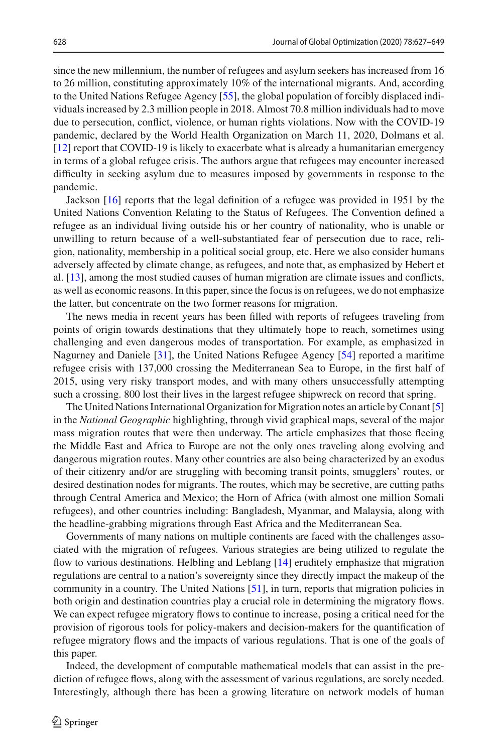since the new millennium, the number of refugees and asylum seekers has increased from 16 to 26 million, constituting approximately 10% of the international migrants. And, according to the United Nations Refugee Agency [\[55\]](#page-22-1), the global population of forcibly displaced individuals increased by 2.3 million people in 2018. Almost 70.8 million individuals had to move due to persecution, conflict, violence, or human rights violations. Now with the COVID-19 pandemic, declared by the World Health Organization on March 11, 2020, Dolmans et al. [\[12\]](#page-21-0) report that COVID-19 is likely to exacerbate what is already a humanitarian emergency in terms of a global refugee crisis. The authors argue that refugees may encounter increased difficulty in seeking asylum due to measures imposed by governments in response to the pandemic.

Jackson [\[16](#page-21-1)] reports that the legal definition of a refugee was provided in 1951 by the United Nations Convention Relating to the Status of Refugees. The Convention defined a refugee as an individual living outside his or her country of nationality, who is unable or unwilling to return because of a well-substantiated fear of persecution due to race, religion, nationality, membership in a political social group, etc. Here we also consider humans adversely affected by climate change, as refugees, and note that, as emphasized by Hebert et al. [\[13](#page-21-2)], among the most studied causes of human migration are climate issues and conflicts, as well as economic reasons. In this paper, since the focus is on refugees, we do not emphasize the latter, but concentrate on the two former reasons for migration.

The news media in recent years has been filled with reports of refugees traveling from points of origin towards destinations that they ultimately hope to reach, sometimes using challenging and even dangerous modes of transportation. For example, as emphasized in Nagurney and Daniele [\[31\]](#page-21-3), the United Nations Refugee Agency [\[54](#page-22-2)] reported a maritime refugee crisis with 137,000 crossing the Mediterranean Sea to Europe, in the first half of 2015, using very risky transport modes, and with many others unsuccessfully attempting such a crossing. 800 lost their lives in the largest refugee shipwreck on record that spring.

The United Nations International Organization for Migration notes an article by Conant [\[5\]](#page-20-0) in the *National Geographic* highlighting, through vivid graphical maps, several of the major mass migration routes that were then underway. The article emphasizes that those fleeing the Middle East and Africa to Europe are not the only ones traveling along evolving and dangerous migration routes. Many other countries are also being characterized by an exodus of their citizenry and/or are struggling with becoming transit points, smugglers' routes, or desired destination nodes for migrants. The routes, which may be secretive, are cutting paths through Central America and Mexico; the Horn of Africa (with almost one million Somali refugees), and other countries including: Bangladesh, Myanmar, and Malaysia, along with the headline-grabbing migrations through East Africa and the Mediterranean Sea.

Governments of many nations on multiple continents are faced with the challenges associated with the migration of refugees. Various strategies are being utilized to regulate the flow to various destinations. Helbling and Leblang [\[14\]](#page-21-4) eruditely emphasize that migration regulations are central to a nation's sovereignty since they directly impact the makeup of the community in a country. The United Nations [\[51\]](#page-22-3), in turn, reports that migration policies in both origin and destination countries play a crucial role in determining the migratory flows. We can expect refugee migratory flows to continue to increase, posing a critical need for the provision of rigorous tools for policy-makers and decision-makers for the quantification of refugee migratory flows and the impacts of various regulations. That is one of the goals of this paper.

Indeed, the development of computable mathematical models that can assist in the prediction of refugee flows, along with the assessment of various regulations, are sorely needed. Interestingly, although there has been a growing literature on network models of human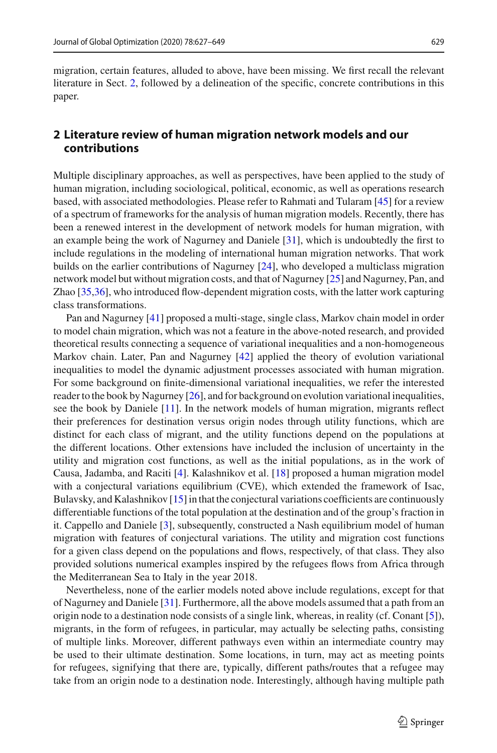migration, certain features, alluded to above, have been missing. We first recall the relevant literature in Sect. [2,](#page-2-0) followed by a delineation of the specific, concrete contributions in this paper.

### <span id="page-2-0"></span>**2 Literature review of human migration network models and our contributions**

Multiple disciplinary approaches, as well as perspectives, have been applied to the study of human migration, including sociological, political, economic, as well as operations research based, with associated methodologies. Please refer to Rahmati and Tularam [\[45\]](#page-22-4) for a review of a spectrum of frameworks for the analysis of human migration models. Recently, there has been a renewed interest in the development of network models for human migration, with an example being the work of Nagurney and Daniele [\[31\]](#page-21-3), which is undoubtedly the first to include regulations in the modeling of international human migration networks. That work builds on the earlier contributions of Nagurney [\[24\]](#page-21-5), who developed a multiclass migration network model but without migration costs, and that of Nagurney [\[25](#page-21-6)] and Nagurney, Pan, and Zhao [\[35](#page-22-5)[,36\]](#page-22-6), who introduced flow-dependent migration costs, with the latter work capturing class transformations.

Pan and Nagurney [\[41\]](#page-22-7) proposed a multi-stage, single class, Markov chain model in order to model chain migration, which was not a feature in the above-noted research, and provided theoretical results connecting a sequence of variational inequalities and a non-homogeneous Markov chain. Later, Pan and Nagurney [\[42](#page-22-8)] applied the theory of evolution variational inequalities to model the dynamic adjustment processes associated with human migration. For some background on finite-dimensional variational inequalities, we refer the interested reader to the book by Nagurney [\[26\]](#page-21-7), and for background on evolution variational inequalities, see the book by Daniele [\[11](#page-21-8)]. In the network models of human migration, migrants reflect their preferences for destination versus origin nodes through utility functions, which are distinct for each class of migrant, and the utility functions depend on the populations at the different locations. Other extensions have included the inclusion of uncertainty in the utility and migration cost functions, as well as the initial populations, as in the work of Causa, Jadamba, and Raciti [\[4\]](#page-20-1). Kalashnikov et al. [\[18\]](#page-21-9) proposed a human migration model with a conjectural variations equilibrium (CVE), which extended the framework of Isac, Bulavsky, and Kalashnikov [\[15](#page-21-10)] in that the conjectural variations coefficients are continuously differentiable functions of the total population at the destination and of the group's fraction in it. Cappello and Daniele [\[3](#page-20-2)], subsequently, constructed a Nash equilibrium model of human migration with features of conjectural variations. The utility and migration cost functions for a given class depend on the populations and flows, respectively, of that class. They also provided solutions numerical examples inspired by the refugees flows from Africa through the Mediterranean Sea to Italy in the year 2018.

Nevertheless, none of the earlier models noted above include regulations, except for that of Nagurney and Daniele [\[31\]](#page-21-3). Furthermore, all the above models assumed that a path from an origin node to a destination node consists of a single link, whereas, in reality (cf. Conant [\[5](#page-20-0)]), migrants, in the form of refugees, in particular, may actually be selecting paths, consisting of multiple links. Moreover, different pathways even within an intermediate country may be used to their ultimate destination. Some locations, in turn, may act as meeting points for refugees, signifying that there are, typically, different paths/routes that a refugee may take from an origin node to a destination node. Interestingly, although having multiple path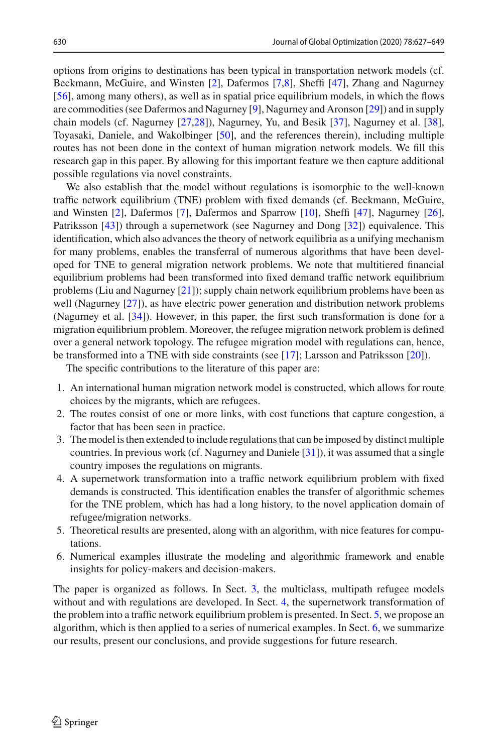options from origins to destinations has been typical in transportation network models (cf. Beckmann, McGuire, and Winsten [\[2\]](#page-20-3), Dafermos [\[7](#page-21-11)[,8](#page-21-12)], Sheffi [\[47\]](#page-22-9), Zhang and Nagurney [\[56\]](#page-22-10), among many others), as well as in spatial price equilibrium models, in which the flows are commodities (see Dafermos and Nagurney [\[9](#page-21-13)], Nagurney and Aronson [\[29\]](#page-21-14)) and in supply chain models (cf. Nagurney [\[27](#page-21-15)[,28](#page-21-16)]), Nagurney, Yu, and Besik [\[37](#page-22-11)], Nagurney et al. [\[38\]](#page-22-12), Toyasaki, Daniele, and Wakolbinger [\[50\]](#page-22-13), and the references therein), including multiple routes has not been done in the context of human migration network models. We fill this research gap in this paper. By allowing for this important feature we then capture additional possible regulations via novel constraints.

We also establish that the model without regulations is isomorphic to the well-known traffic network equilibrium (TNE) problem with fixed demands (cf. Beckmann, McGuire, and Winsten [\[2\]](#page-20-3), Dafermos [\[7](#page-21-11)], Dafermos and Sparrow [\[10](#page-21-17)], Sheffi [\[47\]](#page-22-9), Nagurney [\[26\]](#page-21-7), Patriksson [\[43](#page-22-14)]) through a supernetwork (see Nagurney and Dong [\[32\]](#page-21-18)) equivalence. This identification, which also advances the theory of network equilibria as a unifying mechanism for many problems, enables the transferral of numerous algorithms that have been developed for TNE to general migration network problems. We note that multitiered financial equilibrium problems had been transformed into fixed demand traffic network equilibrium problems (Liu and Nagurney [\[21\]](#page-21-19)); supply chain network equilibrium problems have been as well (Nagurney [\[27\]](#page-21-15)), as have electric power generation and distribution network problems (Nagurney et al. [\[34\]](#page-22-15)). However, in this paper, the first such transformation is done for a migration equilibrium problem. Moreover, the refugee migration network problem is defined over a general network topology. The refugee migration model with regulations can, hence, be transformed into a TNE with side constraints (see [\[17](#page-21-20)]; Larsson and Patriksson [\[20](#page-21-21)]).

The specific contributions to the literature of this paper are:

- 1. An international human migration network model is constructed, which allows for route choices by the migrants, which are refugees.
- 2. The routes consist of one or more links, with cost functions that capture congestion, a factor that has been seen in practice.
- 3. The model is then extended to include regulations that can be imposed by distinct multiple countries. In previous work (cf. Nagurney and Daniele [\[31\]](#page-21-3)), it was assumed that a single country imposes the regulations on migrants.
- 4. A supernetwork transformation into a traffic network equilibrium problem with fixed demands is constructed. This identification enables the transfer of algorithmic schemes for the TNE problem, which has had a long history, to the novel application domain of refugee/migration networks.
- 5. Theoretical results are presented, along with an algorithm, with nice features for computations.
- 6. Numerical examples illustrate the modeling and algorithmic framework and enable insights for policy-makers and decision-makers.

The paper is organized as follows. In Sect. [3,](#page-4-0) the multiclass, multipath refugee models without and with regulations are developed. In Sect. [4,](#page-11-0) the supernetwork transformation of the problem into a traffic network equilibrium problem is presented. In Sect. [5,](#page-13-0) we propose an algorithm, which is then applied to a series of numerical examples. In Sect. [6,](#page-19-0) we summarize our results, present our conclusions, and provide suggestions for future research.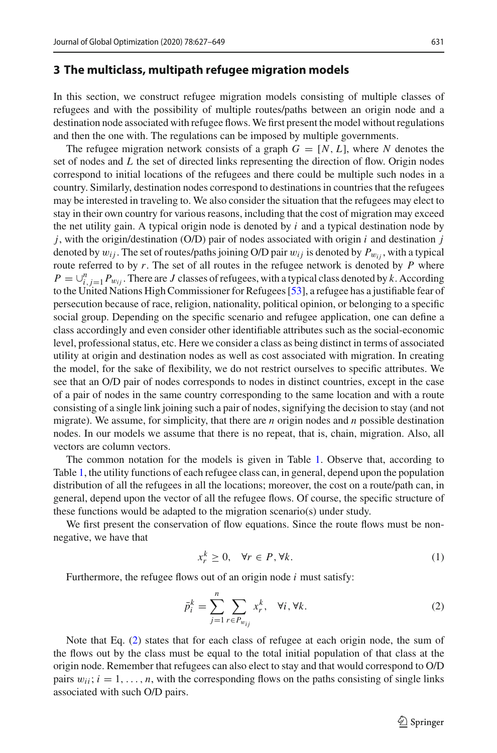### <span id="page-4-0"></span>**3 The multiclass, multipath refugee migration models**

In this section, we construct refugee migration models consisting of multiple classes of refugees and with the possibility of multiple routes/paths between an origin node and a destination node associated with refugee flows. We first present the model without regulations and then the one with. The regulations can be imposed by multiple governments.

The refugee migration network consists of a graph  $G = [N, L]$ , where N denotes the set of nodes and *L* the set of directed links representing the direction of flow. Origin nodes correspond to initial locations of the refugees and there could be multiple such nodes in a country. Similarly, destination nodes correspond to destinations in countries that the refugees may be interested in traveling to. We also consider the situation that the refugees may elect to stay in their own country for various reasons, including that the cost of migration may exceed the net utility gain. A typical origin node is denoted by *i* and a typical destination node by *j*, with the origin/destination (O/D) pair of nodes associated with origin *i* and destination *j* denoted by  $w_{ij}$ . The set of routes/paths joining O/D pair  $w_{ij}$  is denoted by  $P_{w_{ij}}$ , with a typical route referred to by *r*. The set of all routes in the refugee network is denoted by *P* where  $P = \bigcup_{i,j=1}^{n} P_{w_{ij}}$ . There are *J* classes of refugees, with a typical class denoted by *k*. According to the United Nations High Commissioner for Refugees [\[53](#page-22-16)], a refugee has a justifiable fear of persecution because of race, religion, nationality, political opinion, or belonging to a specific social group. Depending on the specific scenario and refugee application, one can define a class accordingly and even consider other identifiable attributes such as the social-economic level, professional status, etc. Here we consider a class as being distinct in terms of associated utility at origin and destination nodes as well as cost associated with migration. In creating the model, for the sake of flexibility, we do not restrict ourselves to specific attributes. We see that an O/D pair of nodes corresponds to nodes in distinct countries, except in the case of a pair of nodes in the same country corresponding to the same location and with a route consisting of a single link joining such a pair of nodes, signifying the decision to stay (and not migrate). We assume, for simplicity, that there are *n* origin nodes and *n* possible destination nodes. In our models we assume that there is no repeat, that is, chain, migration. Also, all vectors are column vectors.

The common notation for the models is given in Table [1.](#page-5-0) Observe that, according to Table [1,](#page-5-0) the utility functions of each refugee class can, in general, depend upon the population distribution of all the refugees in all the locations; moreover, the cost on a route/path can, in general, depend upon the vector of all the refugee flows. Of course, the specific structure of these functions would be adapted to the migration scenario(s) under study.

We first present the conservation of flow equations. Since the route flows must be nonnegative, we have that

$$
x_r^k \ge 0, \quad \forall r \in P, \forall k. \tag{1}
$$

Furthermore, the refugee flows out of an origin node *i* must satisfy:

<span id="page-4-1"></span>
$$
\bar{p}_i^k = \sum_{j=1}^n \sum_{r \in P_{w_{ij}}} x_r^k, \quad \forall i, \forall k. \tag{2}
$$

Note that Eq. [\(2\)](#page-4-1) states that for each class of refugee at each origin node, the sum of the flows out by the class must be equal to the total initial population of that class at the origin node. Remember that refugees can also elect to stay and that would correspond to O/D pairs  $w_{ii}$ ;  $i = 1, \ldots, n$ , with the corresponding flows on the paths consisting of single links associated with such O/D pairs.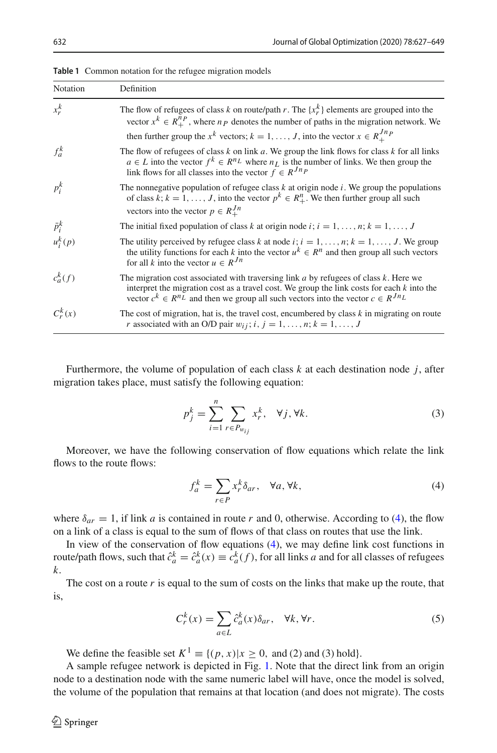| Notation      | Definition                                                                                                                                                                                                                                                                                |
|---------------|-------------------------------------------------------------------------------------------------------------------------------------------------------------------------------------------------------------------------------------------------------------------------------------------|
| $x_r^k$       | The flow of refugees of class k on route/path r. The $\{x_r^k\}$ elements are grouped into the<br>vector $x^k \in R_{+}^{n_p}$ , where $n_p$ denotes the number of paths in the migration network. We                                                                                     |
|               | then further group the $x^k$ vectors; $k = 1, , J$ , into the vector $x \in R_{+}^{J_{n}}$                                                                                                                                                                                                |
| $f_a^k$       | The flow of refugees of class k on link a. We group the link flows for class k for all links<br>$a \in L$ into the vector $f^k \in R^{n_L}$ where $n_L$ is the number of links. We then group the<br>link flows for all classes into the vector $f \in R^{Jnp}$                           |
| $p_i^k$       | The nonnegative population of refugee class $k$ at origin node $i$ . We group the populations<br>of class $k; k = 1, , J$ , into the vector $p^k \in R^n_+$ . We then further group all such<br>vectors into the vector $p \in R_{+}^{Jn}$                                                |
| $\bar{p}_i^k$ | The initial fixed population of class k at origin node $i$ ; $i = 1, , n$ ; $k = 1, , J$                                                                                                                                                                                                  |
| $u_i^k(p)$    | The utility perceived by refugee class k at node i; $i = 1, , n$ ; $k = 1, , J$ . We group<br>the utility functions for each k into the vector $u^k \in \mathbb{R}^n$ and then group all such vectors<br>for all k into the vector $u \in R^{Jn}$                                         |
| $c_a^k(f)$    | The migration cost associated with traversing link $a$ by refugees of class $k$ . Here we<br>interpret the migration cost as a travel cost. We group the link costs for each $k$ into the<br>vector $c^k \in R^{n_L}$ and then we group all such vectors into the vector $c \in R^{Jn_L}$ |
| $C_r^k(x)$    | The cost of migration, hat is, the travel cost, encumbered by class $k$ in migrating on route<br>r associated with an O/D pair $w_{ij}$ ; $i, j = 1, , n$ ; $k = 1, , J$                                                                                                                  |

<span id="page-5-0"></span>**Table 1** Common notation for the refugee migration models

Furthermore, the volume of population of each class *k* at each destination node *j*, after migration takes place, must satisfy the following equation:

<span id="page-5-2"></span>
$$
p_j^k = \sum_{i=1}^n \sum_{r \in P_{w_{ij}}} x_r^k, \quad \forall j, \forall k.
$$
 (3)

Moreover, we have the following conservation of flow equations which relate the link flows to the route flows:

<span id="page-5-1"></span>
$$
f_a^k = \sum_{r \in P} x_r^k \delta_{ar}, \quad \forall a, \forall k,
$$
\n<sup>(4)</sup>

where  $\delta_{ar} = 1$ , if link *a* is contained in route *r* and 0, otherwise. According to [\(4\)](#page-5-1), the flow on a link of a class is equal to the sum of flows of that class on routes that use the link.

In view of the conservation of flow equations [\(4\)](#page-5-1), we may define link cost functions in route/path flows, such that  $\hat{c}_a^k = \hat{c}_a^k(x) \equiv c_a^k(f)$ , for all links *a* and for all classes of refugees *k*.

The cost on a route r is equal to the sum of costs on the links that make up the route, that is,

$$
C_r^k(x) = \sum_{a \in L} \hat{c}_a^k(x) \delta_{ar}, \quad \forall k, \forall r.
$$
 (5)

We define the feasible set  $K^1 \equiv \{(p, x) | x \ge 0, \text{ and } (2) \text{ and } (3) \text{ hold}\}.$ 

A sample refugee network is depicted in Fig. [1.](#page-6-0) Note that the direct link from an origin node to a destination node with the same numeric label will have, once the model is solved, the volume of the population that remains at that location (and does not migrate). The costs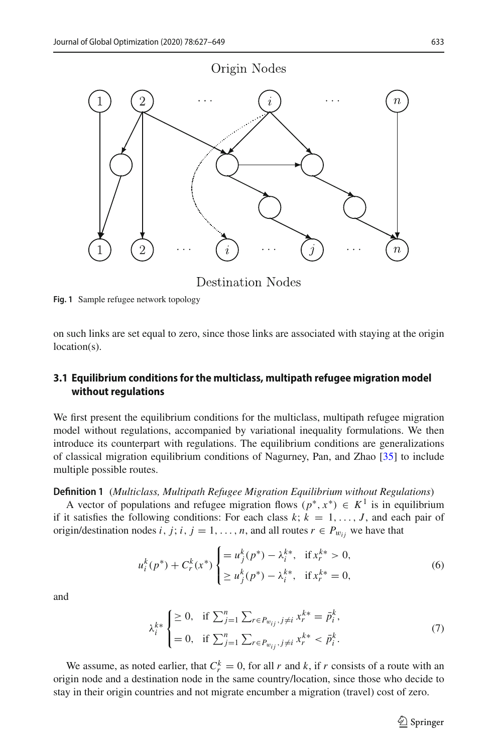

Destination Nodes

<span id="page-6-0"></span>**Fig. 1** Sample refugee network topology

on such links are set equal to zero, since those links are associated with staying at the origin location(s).

### **3.1 Equilibrium conditions for the multiclass, multipath refugee migration model without regulations**

We first present the equilibrium conditions for the multiclass, multipath refugee migration model without regulations, accompanied by variational inequality formulations. We then introduce its counterpart with regulations. The equilibrium conditions are generalizations of classical migration equilibrium conditions of Nagurney, Pan, and Zhao [\[35](#page-22-5)] to include multiple possible routes.

<span id="page-6-2"></span>**Definition 1** (*Multiclass, Multipath Refugee Migration Equilibrium without Regulations*)

A vector of populations and refugee migration flows  $(p^*, x^*) \in K^1$  is in equilibrium if it satisfies the following conditions: For each class  $k$ ;  $k = 1, \ldots, J$ , and each pair of origin/destination nodes *i*, *j*; *i*, *j* = 1, ..., *n*, and all routes  $r \in P_{w_{ij}}$  we have that

<span id="page-6-1"></span>
$$
u_i^k(p^*) + C_r^k(x^*) \begin{cases} = u_j^k(p^*) - \lambda_i^{k*}, & \text{if } x_r^{k*} > 0, \\ \ge u_j^k(p^*) - \lambda_i^{k*}, & \text{if } x_r^{k*} = 0, \end{cases}
$$
 (6)

and

<span id="page-6-3"></span>
$$
\lambda_i^{k*} \begin{cases} \ge 0, & \text{if } \sum_{j=1}^n \sum_{r \in P_{w_{ij}}, j \ne i} x_r^{k*} = \bar{p}_i^k, \\ = 0, & \text{if } \sum_{j=1}^n \sum_{r \in P_{w_{ij}}, j \ne i} x_r^{k*} < \bar{p}_i^k. \end{cases} \tag{7}
$$

We assume, as noted earlier, that  $C_r^k = 0$ , for all *r* and *k*, if *r* consists of a route with an origin node and a destination node in the same country/location, since those who decide to stay in their origin countries and not migrate encumber a migration (travel) cost of zero.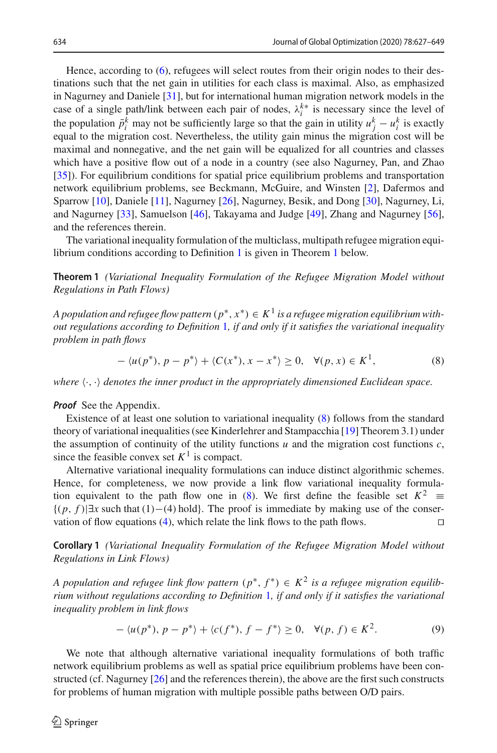Hence, according to [\(6\)](#page-6-1), refugees will select routes from their origin nodes to their destinations such that the net gain in utilities for each class is maximal. Also, as emphasized in Nagurney and Daniele [\[31\]](#page-21-3), but for international human migration network models in the case of a single path/link between each pair of nodes,  $\lambda_i^{k*}$  is necessary since the level of the population  $\bar{p}_i^k$  may not be sufficiently large so that the gain in utility  $u_j^k - u_i^k$  is exactly equal to the migration cost. Nevertheless, the utility gain minus the migration cost will be maximal and nonnegative, and the net gain will be equalized for all countries and classes which have a positive flow out of a node in a country (see also Nagurney, Pan, and Zhao [\[35\]](#page-22-5)). For equilibrium conditions for spatial price equilibrium problems and transportation network equilibrium problems, see Beckmann, McGuire, and Winsten [\[2](#page-20-3)], Dafermos and Sparrow [\[10\]](#page-21-17), Daniele [\[11](#page-21-8)], Nagurney [\[26](#page-21-7)], Nagurney, Besik, and Dong [\[30](#page-21-22)], Nagurney, Li, and Nagurney [\[33\]](#page-21-23), Samuelson [\[46\]](#page-22-17), Takayama and Judge [\[49\]](#page-22-18), Zhang and Nagurney [\[56\]](#page-22-10), and the references therein.

<span id="page-7-0"></span>The variational inequality formulation of the multiclass, multipath refugee migration equilibrium conditions according to Definition [1](#page-6-2) is given in Theorem [1](#page-7-0) below.

**Theorem 1** *(Variational Inequality Formulation of the Refugee Migration Model without Regulations in Path Flows)*

*A population and refugee flow pattern*  $(p^*, x^*) \in K^1$  *is a refugee migration equilibrium without regulations according to Definition* [1](#page-6-2)*, if and only if it satisfies the variational inequality problem in path flows*

<span id="page-7-1"></span>
$$
-\langle u(p^*), p - p^* \rangle + \langle C(x^*), x - x^* \rangle \ge 0, \quad \forall (p, x) \in K^1,
$$
 (8)

where  $\langle \cdot, \cdot \rangle$  denotes the inner product in the appropriately dimensioned Euclidean space.

#### *Proof* See the Appendix.

Existence of at least one solution to variational inequality [\(8\)](#page-7-1) follows from the standard theory of variational inequalities (see Kinderlehrer and Stampacchia [\[19](#page-21-24)] Theorem 3.1) under the assumption of continuity of the utility functions  $u$  and the migration cost functions  $c$ , since the feasible convex set  $K^1$  is compact.

Alternative variational inequality formulations can induce distinct algorithmic schemes. Hence, for completeness, we now provide a link flow variational inequality formula-tion equivalent to the path flow one in [\(8\)](#page-7-1). We first define the feasible set  $K^2 \equiv$  ${(p, f)|\exists x \text{ such that } (1)–(4) \text{ hold}}$ . The proof is immediate by making use of the conservation of flow equations (4) which relate the link flows to the path flows vation of flow equations [\(4\)](#page-5-1), which relate the link flows to the path flows. 

**Corollary 1** *(Variational Inequality Formulation of the Refugee Migration Model without Regulations in Link Flows)*

*A population and refugee link flow pattern*  $(p^*, f^*) \in K^2$  *is a refugee migration equilibrium without regulations according to Definition* [1](#page-6-2)*, if and only if it satisfies the variational inequality problem in link flows*

<span id="page-7-2"></span>
$$
-\langle u(p^*), p - p^* \rangle + \langle c(f^*), f - f^* \rangle \ge 0, \quad \forall (p, f) \in K^2.
$$
 (9)

We note that although alternative variational inequality formulations of both traffic network equilibrium problems as well as spatial price equilibrium problems have been constructed (cf. Nagurney [\[26\]](#page-21-7) and the references therein), the above are the first such constructs for problems of human migration with multiple possible paths between O/D pairs.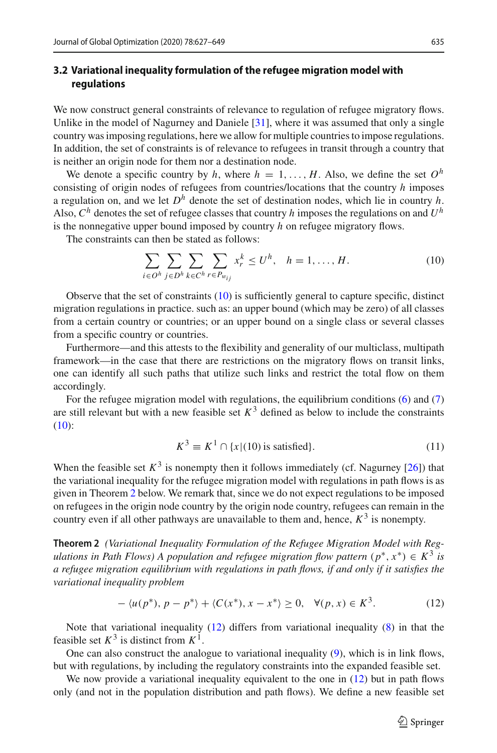### **3.2 Variational inequality formulation of the refugee migration model with regulations**

We now construct general constraints of relevance to regulation of refugee migratory flows. Unlike in the model of Nagurney and Daniele [\[31](#page-21-3)], where it was assumed that only a single country was imposing regulations, here we allow for multiple countries to impose regulations. In addition, the set of constraints is of relevance to refugees in transit through a country that is neither an origin node for them nor a destination node.

We denote a specific country by *h*, where  $h = 1, \ldots, H$ . Also, we define the set  $O^h$ consisting of origin nodes of refugees from countries/locations that the country *h* imposes a regulation on, and we let  $D^h$  denote the set of destination nodes, which lie in country *h*. Also,  $C^h$  denotes the set of refugee classes that country *h* imposes the regulations on and  $U^h$ is the nonnegative upper bound imposed by country *h* on refugee migratory flows.

The constraints can then be stated as follows:

<span id="page-8-0"></span>
$$
\sum_{i \in O^h} \sum_{j \in D^h} \sum_{k \in C^h} \sum_{r \in P_{w_{ij}}} x_r^k \le U^h, \quad h = 1, \dots, H. \tag{10}
$$

Observe that the set of constraints  $(10)$  is sufficiently general to capture specific, distinct migration regulations in practice. such as: an upper bound (which may be zero) of all classes from a certain country or countries; or an upper bound on a single class or several classes from a specific country or countries.

Furthermore—and this attests to the flexibility and generality of our multiclass, multipath framework—in the case that there are restrictions on the migratory flows on transit links, one can identify all such paths that utilize such links and restrict the total flow on them accordingly.

For the refugee migration model with regulations, the equilibrium conditions [\(6\)](#page-6-1) and [\(7\)](#page-6-3) are still relevant but with a new feasible set  $K^3$  defined as below to include the constraints [\(10\)](#page-8-0):

$$
K^3 \equiv K^1 \cap \{x|(10) \text{ is satisfied}\}.
$$
 (11)

When the feasible set  $K^3$  is nonempty then it follows immediately (cf. Nagurney [\[26](#page-21-7)]) that the variational inequality for the refugee migration model with regulations in path flows is as given in Theorem [2](#page-8-1) below. We remark that, since we do not expect regulations to be imposed on refugees in the origin node country by the origin node country, refugees can remain in the country even if all other pathways are unavailable to them and, hence,  $K^3$  is nonempty.

<span id="page-8-1"></span>**Theorem 2** *(Variational Inequality Formulation of the Refugee Migration Model with Regulations in Path Flows) A population and refugee migration flow pattern*  $(p^*, x^*) \in K^3$  *is a refugee migration equilibrium with regulations in path flows, if and only if it satisfies the variational inequality problem*

<span id="page-8-2"></span>
$$
-\langle u(p^*), p - p^* \rangle + \langle C(x^*), x - x^* \rangle \ge 0, \quad \forall (p, x) \in K^3. \tag{12}
$$

Note that variational inequality  $(12)$  differs from variational inequality  $(8)$  in that the feasible set  $K^3$  is distinct from  $K^1$ .

One can also construct the analogue to variational inequality [\(9\)](#page-7-2), which is in link flows, but with regulations, by including the regulatory constraints into the expanded feasible set.

We now provide a variational inequality equivalent to the one in  $(12)$  but in path flows only (and not in the population distribution and path flows). We define a new feasible set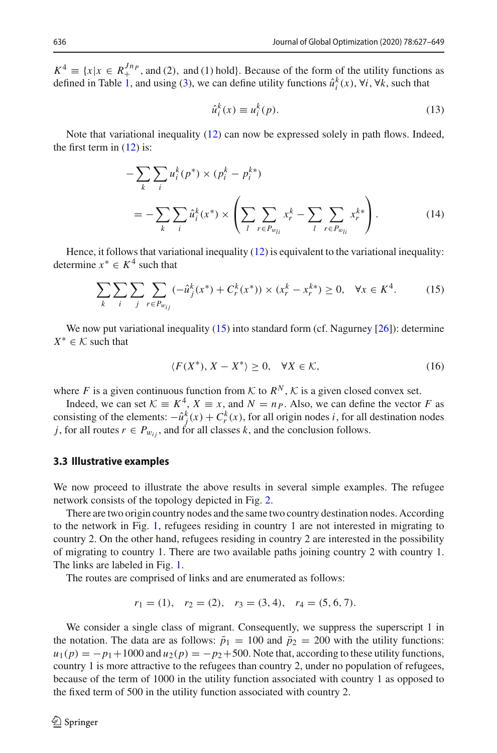$K^4 = \{x | x \in R_+^{Jnp}$ , and (2), and (1) hold}. Because of the form of the utility functions as defined in Table [1,](#page-5-0) and using [\(3\)](#page-5-2), we can define utility functions  $\hat{u}_i^k(x)$ ,  $\forall i$ ,  $\forall k$ , such that

$$
\hat{u}_i^k(x) \equiv u_i^k(p). \tag{13}
$$

Note that variational inequality [\(12\)](#page-8-2) can now be expressed solely in path flows. Indeed, the first term in  $(12)$  is:

$$
-\sum_{k}\sum_{i} u_{i}^{k}(p^{*}) \times (p_{i}^{k} - p_{i}^{k*})
$$
  
=  $-\sum_{k}\sum_{i} \hat{u}_{i}^{k}(x^{*}) \times \left(\sum_{l} \sum_{r \in P_{w_{li}}} x_{r}^{k} - \sum_{l} \sum_{r \in P_{w_{li}}} x_{r}^{k*}\right).$  (14)

Hence, it follows that variational inequality [\(12\)](#page-8-2) is equivalent to the variational inequality: determine  $x^*$  ∈  $K^4$  such that

<span id="page-9-0"></span>
$$
\sum_{k} \sum_{i} \sum_{j} \sum_{r \in P_{w_{ij}}} (-\hat{u}_j^k(x^*) + C_r^k(x^*)) \times (x_r^k - x_r^{k*}) \ge 0, \quad \forall x \in K^4.
$$
 (15)

We now put variational inequality [\(15\)](#page-9-0) into standard form (cf. Nagurney [\[26](#page-21-7)]): determine  $X^* \in \mathcal{K}$  such that

$$
\langle F(X^*), X - X^* \rangle \ge 0, \quad \forall X \in \mathcal{K}, \tag{16}
$$

where *F* is a given continuous function from *K* to  $R^N$ , *K* is a given closed convex set.

Indeed, we can set  $K \equiv K^4$ ,  $X \equiv x$ , and  $N = np$ . Also, we can define the vector *F* as consisting of the elements:  $-\hat{u}_j^k(x) + C_r^k(x)$ , for all origin nodes *i*, for all destination nodes *j*, for all routes  $r \in P_{w_{ij}}$ , and for all classes k, and the conclusion follows.

#### **3.3 Illustrative examples**

We now proceed to illustrate the above results in several simple examples. The refugee network consists of the topology depicted in Fig. [2.](#page-10-0)

There are two origin country nodes and the same two country destination nodes. According to the network in Fig. [1,](#page-6-0) refugees residing in country 1 are not interested in migrating to country 2. On the other hand, refugees residing in country 2 are interested in the possibility of migrating to country 1. There are two available paths joining country 2 with country 1. The links are labeled in Fig. [1.](#page-6-0)

The routes are comprised of links and are enumerated as follows:

$$
r_1 = (1), r_2 = (2), r_3 = (3, 4), r_4 = (5, 6, 7).
$$

We consider a single class of migrant. Consequently, we suppress the superscript 1 in the notation. The data are as follows:  $\bar{p}_1 = 100$  and  $\bar{p}_2 = 200$  with the utility functions:  $u_1(p) = -p_1 + 1000$  and  $u_2(p) = -p_2 + 500$ . Note that, according to these utility functions, country 1 is more attractive to the refugees than country 2, under no population of refugees, because of the term of 1000 in the utility function associated with country 1 as opposed to the fixed term of 500 in the utility function associated with country 2.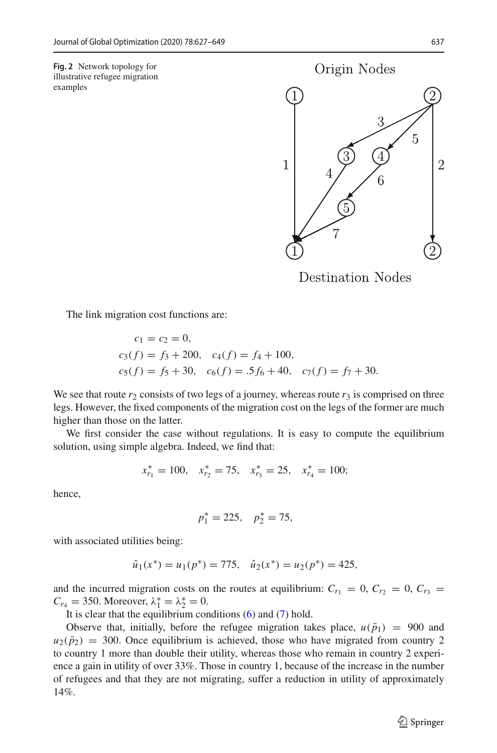<span id="page-10-0"></span>**Fig. 2** Network topology for illustrative refugee migration examples



Destination Nodes

The link migration cost functions are:

$$
c_1 = c_2 = 0,
$$
  
\n
$$
c_3(f) = f_3 + 200, \quad c_4(f) = f_4 + 100,
$$
  
\n
$$
c_5(f) = f_5 + 30, \quad c_6(f) = .5f_6 + 40, \quad c_7(f) = f_7 + 30.
$$

We see that route  $r_2$  consists of two legs of a journey, whereas route  $r_3$  is comprised on three legs. However, the fixed components of the migration cost on the legs of the former are much higher than those on the latter.

We first consider the case without regulations. It is easy to compute the equilibrium solution, using simple algebra. Indeed, we find that:

$$
x_{r_1}^* = 100
$$
,  $x_{r_2}^* = 75$ ,  $x_{r_3}^* = 25$ ,  $x_{r_4}^* = 100$ ;

hence,

$$
p_1^* = 225, \quad p_2^* = 75,
$$

with associated utilities being:

$$
\hat{u}_1(x^*) = u_1(p^*) = 775
$$
,  $\hat{u}_2(x^*) = u_2(p^*) = 425$ ,

and the incurred migration costs on the routes at equilibrium:  $C_{r_1} = 0$ ,  $C_{r_2} = 0$ ,  $C_{r_3} =$  $C_{r_4} = 350$ . Moreover,  $\lambda_1^* = \lambda_2^* = 0$ .

It is clear that the equilibrium conditions  $(6)$  and  $(7)$  hold.

Observe that, initially, before the refugee migration takes place,  $u(\bar{p}_1) = 900$  and  $u_2(\bar{p}_2) = 300$ . Once equilibrium is achieved, those who have migrated from country 2 to country 1 more than double their utility, whereas those who remain in country 2 experience a gain in utility of over 33%. Those in country 1, because of the increase in the number of refugees and that they are not migrating, suffer a reduction in utility of approximately 14%.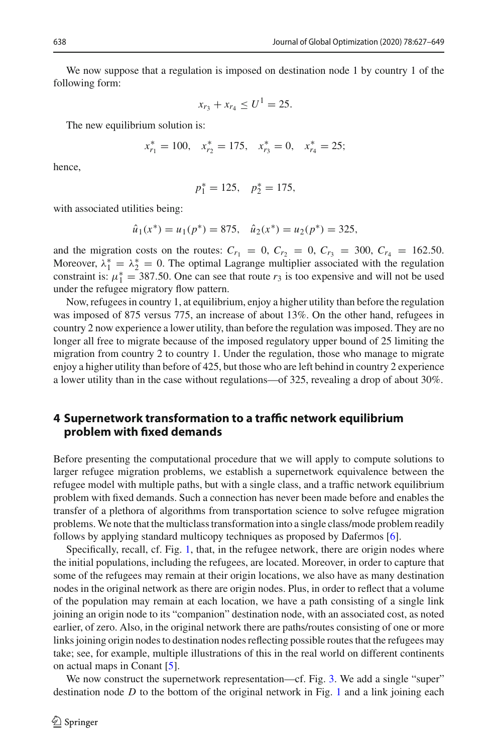We now suppose that a regulation is imposed on destination node 1 by country 1 of the following form:

$$
x_{r_3} + x_{r_4} \le U^1 = 25.
$$

The new equilibrium solution is:

$$
x_{r_1}^* = 100
$$
,  $x_{r_2}^* = 175$ ,  $x_{r_3}^* = 0$ ,  $x_{r_4}^* = 25$ ;

hence,

$$
p_1^* = 125, \quad p_2^* = 175,
$$

with associated utilities being:

$$
\hat{u}_1(x^*) = u_1(p^*) = 875
$$
,  $\hat{u}_2(x^*) = u_2(p^*) = 325$ ,

and the migration costs on the routes:  $C_{r_1} = 0$ ,  $C_{r_2} = 0$ ,  $C_{r_3} = 300$ ,  $C_{r_4} = 162.50$ . Moreover,  $\lambda_1^* = \lambda_2^* = 0$ . The optimal Lagrange multiplier associated with the regulation constraint is:  $\mu_1^* = 387.50$ . One can see that route  $r_3$  is too expensive and will not be used under the refugee migratory flow pattern.

Now, refugees in country 1, at equilibrium, enjoy a higher utility than before the regulation was imposed of 875 versus 775, an increase of about 13%. On the other hand, refugees in country 2 now experience a lower utility, than before the regulation was imposed. They are no longer all free to migrate because of the imposed regulatory upper bound of 25 limiting the migration from country 2 to country 1. Under the regulation, those who manage to migrate enjoy a higher utility than before of 425, but those who are left behind in country 2 experience a lower utility than in the case without regulations—of 325, revealing a drop of about 30%.

### <span id="page-11-0"></span>**4 Supernetwork transformation to a traffic network equilibrium problem with fixed demands**

Before presenting the computational procedure that we will apply to compute solutions to larger refugee migration problems, we establish a supernetwork equivalence between the refugee model with multiple paths, but with a single class, and a traffic network equilibrium problem with fixed demands. Such a connection has never been made before and enables the transfer of a plethora of algorithms from transportation science to solve refugee migration problems. We note that the multiclass transformation into a single class/mode problem readily follows by applying standard multicopy techniques as proposed by Dafermos [\[6\]](#page-21-25).

Specifically, recall, cf. Fig. [1,](#page-6-0) that, in the refugee network, there are origin nodes where the initial populations, including the refugees, are located. Moreover, in order to capture that some of the refugees may remain at their origin locations, we also have as many destination nodes in the original network as there are origin nodes. Plus, in order to reflect that a volume of the population may remain at each location, we have a path consisting of a single link joining an origin node to its "companion" destination node, with an associated cost, as noted earlier, of zero. Also, in the original network there are paths/routes consisting of one or more links joining origin nodes to destination nodes reflecting possible routes that the refugees may take; see, for example, multiple illustrations of this in the real world on different continents on actual maps in Conant [\[5\]](#page-20-0).

We now construct the supernetwork representation—cf. Fig. [3.](#page-12-0) We add a single "super" destination node *D* to the bottom of the original network in Fig. [1](#page-6-0) and a link joining each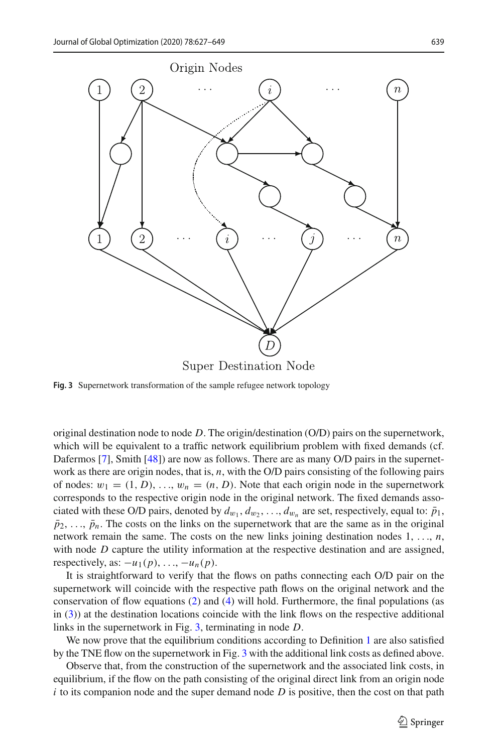

Super Destination Node

<span id="page-12-0"></span>**Fig. 3** Supernetwork transformation of the sample refugee network topology

original destination node to node *D*. The origin/destination (O/D) pairs on the supernetwork, which will be equivalent to a traffic network equilibrium problem with fixed demands (cf. Dafermos [\[7\]](#page-21-11), Smith [\[48\]](#page-22-19)) are now as follows. There are as many O/D pairs in the supernetwork as there are origin nodes, that is, *n*, with the O/D pairs consisting of the following pairs of nodes:  $w_1 = (1, D), \ldots, w_n = (n, D)$ . Note that each origin node in the supernetwork corresponds to the respective origin node in the original network. The fixed demands associated with these O/D pairs, denoted by  $d_{w_1}, d_{w_2}, \ldots, d_{w_n}$  are set, respectively, equal to:  $\bar{p}_1$ ,  $\bar{p}_2, \ldots, \bar{p}_n$ . The costs on the links on the supernetwork that are the same as in the original network remain the same. The costs on the new links joining destination nodes 1, ..., *n*, with node *D* capture the utility information at the respective destination and are assigned, respectively, as:  $-u_1(p), \ldots, -u_n(p)$ .

It is straightforward to verify that the flows on paths connecting each O/D pair on the supernetwork will coincide with the respective path flows on the original network and the conservation of flow equations [\(2\)](#page-4-1) and [\(4\)](#page-5-1) will hold. Furthermore, the final populations (as in  $(3)$ ) at the destination locations coincide with the link flows on the respective additional links in the supernetwork in Fig. [3,](#page-12-0) terminating in node *D*.

We now prove that the equilibrium conditions according to Definition [1](#page-6-2) are also satisfied by the TNE flow on the supernetwork in Fig. [3](#page-12-0) with the additional link costs as defined above.

Observe that, from the construction of the supernetwork and the associated link costs, in equilibrium, if the flow on the path consisting of the original direct link from an origin node *i* to its companion node and the super demand node *D* is positive, then the cost on that path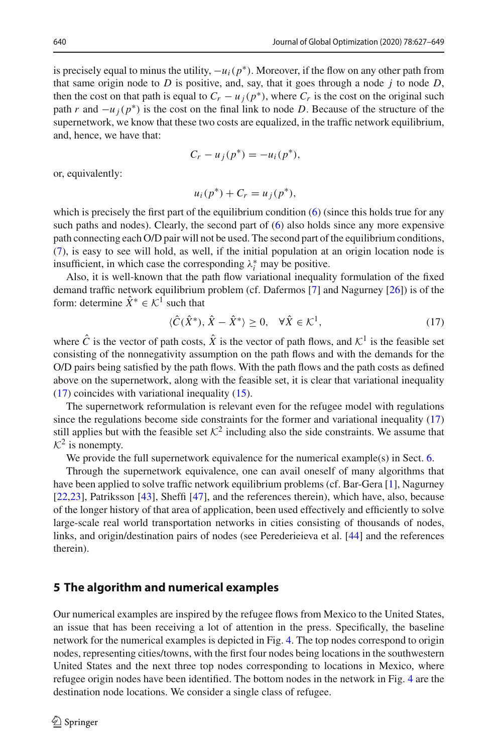is precisely equal to minus the utility,  $-u_i(p^*)$ . Moreover, if the flow on any other path from that same origin node to  $D$  is positive, and, say, that it goes through a node  $j$  to node  $D$ , then the cost on that path is equal to  $C_r - u_j(p^*)$ , where  $C_r$  is the cost on the original such path *r* and  $-u_i(p^*)$  is the cost on the final link to node *D*. Because of the structure of the supernetwork, we know that these two costs are equalized, in the traffic network equilibrium, and, hence, we have that:

$$
C_r - u_j(p^*) = -u_i(p^*),
$$

or, equivalently:

$$
u_i(p^*) + C_r = u_j(p^*),
$$

which is precisely the first part of the equilibrium condition [\(6\)](#page-6-1) (since this holds true for any such paths and nodes). Clearly, the second part of [\(6\)](#page-6-1) also holds since any more expensive path connecting each O/D pair will not be used. The second part of the equilibrium conditions, [\(7\)](#page-6-3), is easy to see will hold, as well, if the initial population at an origin location node is insufficient, in which case the corresponding  $\lambda_i^*$  may be positive.

Also, it is well-known that the path flow variational inequality formulation of the fixed demand traffic network equilibrium problem (cf. Dafermos [\[7](#page-21-11)] and Nagurney [\[26](#page-21-7)]) is of the form: determine  $\hat{X}^* \in \mathcal{K}^1$  such that

<span id="page-13-1"></span>
$$
\langle \hat{C}(\hat{X}^*), \hat{X} - \hat{X}^* \rangle \ge 0, \quad \forall \hat{X} \in \mathcal{K}^1,
$$
\n
$$
(17)
$$

where  $\hat{C}$  is the vector of path costs,  $\hat{X}$  is the vector of path flows, and  $\mathcal{K}^1$  is the feasible set consisting of the nonnegativity assumption on the path flows and with the demands for the O/D pairs being satisfied by the path flows. With the path flows and the path costs as defined above on the supernetwork, along with the feasible set, it is clear that variational inequality [\(17\)](#page-13-1) coincides with variational inequality [\(15\)](#page-9-0).

The supernetwork reformulation is relevant even for the refugee model with regulations since the regulations become side constraints for the former and variational inequality [\(17\)](#page-13-1) still applies but with the feasible set  $K^2$  including also the side constraints. We assume that  $K^2$  is nonempty.

We provide the full supernetwork equivalence for the numerical example(s) in Sect. [6.](#page-19-0)

Through the supernetwork equivalence, one can avail oneself of many algorithms that have been applied to solve traffic network equilibrium problems (cf. Bar-Gera [\[1](#page-20-4)], Nagurney [\[22](#page-21-26)[,23\]](#page-21-27), Patriksson [\[43](#page-22-14)], Sheffi [\[47](#page-22-9)], and the references therein), which have, also, because of the longer history of that area of application, been used effectively and efficiently to solve large-scale real world transportation networks in cities consisting of thousands of nodes, links, and origin/destination pairs of nodes (see Perederieieva et al. [\[44\]](#page-22-20) and the references therein).

### <span id="page-13-0"></span>**5 The algorithm and numerical examples**

Our numerical examples are inspired by the refugee flows from Mexico to the United States, an issue that has been receiving a lot of attention in the press. Specifically, the baseline network for the numerical examples is depicted in Fig. [4.](#page-14-0) The top nodes correspond to origin nodes, representing cities/towns, with the first four nodes being locations in the southwestern United States and the next three top nodes corresponding to locations in Mexico, where refugee origin nodes have been identified. The bottom nodes in the network in Fig. [4](#page-14-0) are the destination node locations. We consider a single class of refugee.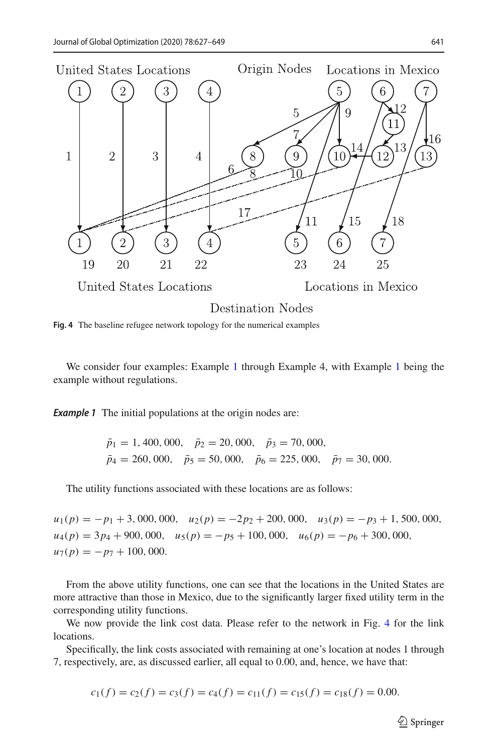

<span id="page-14-0"></span>**Fig. 4** The baseline refugee network topology for the numerical examples

<span id="page-14-1"></span>We consider four examples: Example [1](#page-14-1) through Example 4, with Example 1 being the example without regulations.

*Example 1* The initial populations at the origin nodes are:

$$
\bar{p}_1 = 1,400,000, \quad \bar{p}_2 = 20,000, \quad \bar{p}_3 = 70,000,
$$
  
\n $\bar{p}_4 = 260,000, \quad \bar{p}_5 = 50,000, \quad \bar{p}_6 = 225,000, \quad \bar{p}_7 = 30,000.$ 

The utility functions associated with these locations are as follows:

 $u_1(p) = -p_1 + 3,000,000, u_2(p) = -2p_2 + 200,000, u_3(p) = -p_3 + 1,500,000,$  $u_4(p) = 3p_4 + 900, 000, u_5(p) = -p_5 + 100, 000, u_6(p) = -p_6 + 300, 000,$  $u_7(p) = -p_7 + 100,000.$ 

From the above utility functions, one can see that the locations in the United States are more attractive than those in Mexico, due to the significantly larger fixed utility term in the corresponding utility functions.

We now provide the link cost data. Please refer to the network in Fig. [4](#page-14-0) for the link locations.

Specifically, the link costs associated with remaining at one's location at nodes 1 through 7, respectively, are, as discussed earlier, all equal to 0.00, and, hence, we have that:

$$
c_1(f) = c_2(f) = c_3(f) = c_4(f) = c_{11}(f) = c_{15}(f) = c_{18}(f) = 0.00.
$$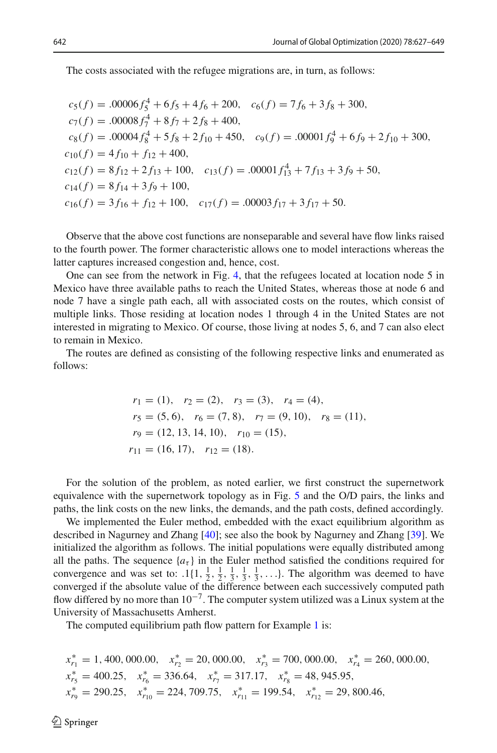The costs associated with the refugee migrations are, in turn, as follows:

$$
c_5(f) = .00006 f_5^4 + 6f_5 + 4f_6 + 200, \quad c_6(f) = 7f_6 + 3f_8 + 300,
$$
  
\n
$$
c_7(f) = .00008 f_7^4 + 8f_7 + 2f_8 + 400,
$$
  
\n
$$
c_8(f) = .00004 f_8^4 + 5f_8 + 2f_{10} + 450, \quad c_9(f) = .00001 f_9^4 + 6f_9 + 2f_{10} + 300,
$$
  
\n
$$
c_{10}(f) = 4f_{10} + f_{12} + 400,
$$
  
\n
$$
c_{12}(f) = 8f_{12} + 2f_{13} + 100, \quad c_{13}(f) = .00001 f_{13}^4 + 7f_{13} + 3f_9 + 50,
$$
  
\n
$$
c_{14}(f) = 8f_{14} + 3f_9 + 100,
$$
  
\n
$$
c_{16}(f) = 3f_{16} + f_{12} + 100, \quad c_{17}(f) = .00003 f_{17} + 3f_{17} + 50.
$$

Observe that the above cost functions are nonseparable and several have flow links raised to the fourth power. The former characteristic allows one to model interactions whereas the latter captures increased congestion and, hence, cost.

One can see from the network in Fig. [4,](#page-14-0) that the refugees located at location node 5 in Mexico have three available paths to reach the United States, whereas those at node 6 and node 7 have a single path each, all with associated costs on the routes, which consist of multiple links. Those residing at location nodes 1 through 4 in the United States are not interested in migrating to Mexico. Of course, those living at nodes 5, 6, and 7 can also elect to remain in Mexico.

The routes are defined as consisting of the following respective links and enumerated as follows:

$$
r_1 = (1), r_2 = (2), r_3 = (3), r_4 = (4),
$$
  
\n
$$
r_5 = (5, 6), r_6 = (7, 8), r_7 = (9, 10), r_8 = (11),
$$
  
\n
$$
r_9 = (12, 13, 14, 10), r_{10} = (15),
$$
  
\n
$$
r_{11} = (16, 17), r_{12} = (18).
$$

For the solution of the problem, as noted earlier, we first construct the supernetwork equivalence with the supernetwork topology as in Fig. [5](#page-16-0) and the O/D pairs, the links and paths, the link costs on the new links, the demands, and the path costs, defined accordingly.

We implemented the Euler method, embedded with the exact equilibrium algorithm as described in Nagurney and Zhang [\[40](#page-22-21)]; see also the book by Nagurney and Zhang [\[39\]](#page-22-22). We initialized the algorithm as follows. The initial populations were equally distributed among all the paths. The sequence  ${a_{\tau}}$  in the Euler method satisfied the conditions required for convergence and was set to:  $.1\{1, \frac{1}{2}, \frac{1}{2}, \frac{1}{3}, \frac{1}{3}, \frac{1}{3}, \ldots\}$ . The algorithm was deemed to have converged if the absolute value of the difference between each successively computed path flow differed by no more than  $10^{-7}$ . The computer system utilized was a Linux system at the University of Massachusetts Amherst.

The computed equilibrium path flow pattern for Example [1](#page-14-1) is:

$$
x_{r_1}^* = 1,400,000.00, \quad x_{r_2}^* = 20,000.00, \quad x_{r_3}^* = 700,000.00, \quad x_{r_4}^* = 260,000.00, \quad x_{r_5}^* = 400.25, \quad x_{r_6}^* = 336.64, \quad x_{r_7}^* = 317.17, \quad x_{r_8}^* = 48,945.95, \quad x_{r_9}^* = 290.25, \quad x_{r_{10}}^* = 224,709.75, \quad x_{r_{11}}^* = 199.54, \quad x_{r_{12}}^* = 29,800.46,
$$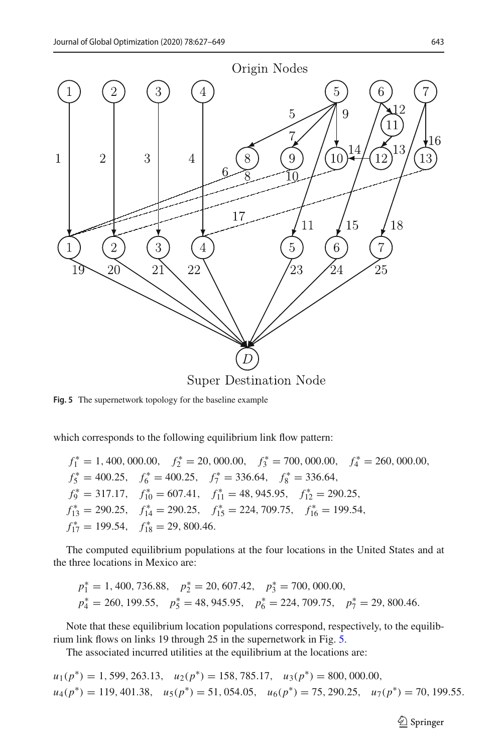

<span id="page-16-0"></span>**Fig. 5** The supernetwork topology for the baseline example

which corresponds to the following equilibrium link flow pattern:

 $f_1^* = 1,400,000.00, \quad f_2^* = 20,000.00, \quad f_3^* = 700,000.00, \quad f_4^* = 260,000.00,$  $f_5^* = 400.25$ ,  $f_6^* = 400.25$ ,  $f_7^* = 336.64$ ,  $f_8^* = 336.64$ ,  $f_9^* = 317.17$ ,  $f_{10}^* = 607.41$ ,  $f_{11}^* = 48,945.95$ ,  $f_{12}^* = 290.25$ ,  $f_{13}^* = 290.25$ ,  $f_{14}^* = 290.25$ ,  $f_{15}^* = 224, 709.75$ ,  $f_{16}^* = 199.54$ ,  $f_{17}^* = 199.54, \quad f_{18}^* = 29,800.46.$ 

The computed equilibrium populations at the four locations in the United States and at the three locations in Mexico are:

$$
p_1^* = 1,400,736.88
$$
,  $p_2^* = 20,607.42$ ,  $p_3^* = 700,000.00$ ,  
\n $p_4^* = 260,199.55$ ,  $p_5^* = 48,945.95$ ,  $p_6^* = 224,709.75$ ,  $p_7^* = 29,800.46$ .

Note that these equilibrium location populations correspond, respectively, to the equilibrium link flows on links 19 through 25 in the supernetwork in Fig. [5.](#page-16-0)

The associated incurred utilities at the equilibrium at the locations are:

 $u_1(p^*) = 1,599,263.13, u_2(p^*) = 158,785.17, u_3(p^*) = 800,000.00,$  $u_4(p^*) = 119, 401.38, u_5(p^*) = 51, 054.05, u_6(p^*) = 75, 290.25, u_7(p^*) = 70, 199.55.$ 

 $\hat{\mathfrak{D}}$  Springer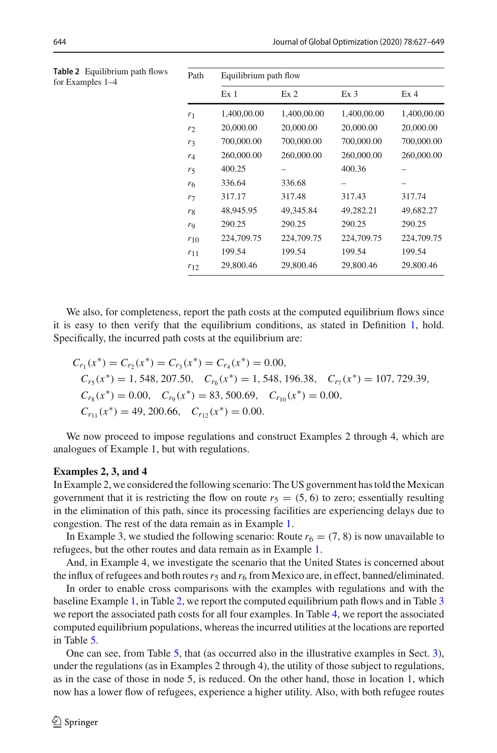| Path           | Equilibrium path flow |                 |                 |                 |
|----------------|-----------------------|-----------------|-----------------|-----------------|
|                | Ex <sub>1</sub>       | Ex <sub>2</sub> | Ex <sub>3</sub> | Ex <sub>4</sub> |
| $r_1$          | 1,400,00.00           | 1,400,00.00     | 1,400,00.00     | 1,400,00.00     |
| r <sub>2</sub> | 20,000.00             | 20,000.00       | 20,000.00       | 20,000.00       |
| $r_3$          | 700,000.00            | 700,000.00      | 700,000.00      | 700,000.00      |
| $r_4$          | 260,000.00            | 260,000.00      | 260,000.00      | 260,000.00      |
| r <sub>5</sub> | 400.25                |                 | 400.36          |                 |
| r <sub>6</sub> | 336.64                | 336.68          |                 |                 |
| r <sub>7</sub> | 317.17                | 317.48          | 317.43          | 317.74          |
| $r_8$          | 48,945.95             | 49,345.84       | 49.282.21       | 49,682.27       |
| rg             | 290.25                | 290.25          | 290.25          | 290.25          |
| $r_{10}$       | 224,709.75            | 224,709.75      | 224,709.75      | 224,709.75      |
| $r_{11}$       | 199.54                | 199.54          | 199.54          | 199.54          |
| $r_{12}$       | 29,800.46             | 29,800.46       | 29,800.46       | 29,800.46       |

<span id="page-17-0"></span>**Table 2** Equilibrium path flows for Examples 1-4

We also, for completeness, report the path costs at the computed equilibrium flows since it is easy to then verify that the equilibrium conditions, as stated in Definition [1,](#page-6-2) hold. Specifically, the incurred path costs at the equilibrium are:

$$
C_{r_1}(x^*) = C_{r_2}(x^*) = C_{r_3}(x^*) = C_{r_4}(x^*) = 0.00,
$$
  
\n
$$
C_{r_5}(x^*) = 1,548,207.50, \quad C_{r_6}(x^*) = 1,548,196.38, \quad C_{r_7}(x^*) = 107,729.39,
$$
  
\n
$$
C_{r_8}(x^*) = 0.00, \quad C_{r_9}(x^*) = 83,500.69, \quad C_{r_{10}}(x^*) = 0.00,
$$
  
\n
$$
C_{r_{11}}(x^*) = 49,200.66, \quad C_{r_{12}}(x^*) = 0.00.
$$

We now proceed to impose regulations and construct Examples 2 through 4, which are analogues of Example 1, but with regulations.

#### **Examples 2, 3, and 4**

In Example 2, we considered the following scenario: The US government has told the Mexican government that it is restricting the flow on route  $r<sub>5</sub> = (5, 6)$  to zero; essentially resulting in the elimination of this path, since its processing facilities are experiencing delays due to congestion. The rest of the data remain as in Example [1.](#page-14-1)

In Example 3, we studied the following scenario: Route  $r_6 = (7, 8)$  is now unavailable to refugees, but the other routes and data remain as in Example [1.](#page-14-1)

And, in Example 4, we investigate the scenario that the United States is concerned about the influx of refugees and both routes  $r_5$  and  $r_6$  from Mexico are, in effect, banned/eliminated.

In order to enable cross comparisons with the examples with regulations and with the baseline Example [1,](#page-14-1) in Table [2,](#page-17-0) we report the computed equilibrium path flows and in Table [3](#page-18-0) we report the associated path costs for all four examples. In Table [4,](#page-18-1) we report the associated computed equilibrium populations, whereas the incurred utilities at the locations are reported in Table [5.](#page-18-2)

One can see, from Table [5,](#page-18-2) that (as occurred also in the illustrative examples in Sect. [3\)](#page-4-0), under the regulations (as in Examples 2 through 4), the utility of those subject to regulations, as in the case of those in node 5, is reduced. On the other hand, those in location 1, which now has a lower flow of refugees, experience a higher utility. Also, with both refugee routes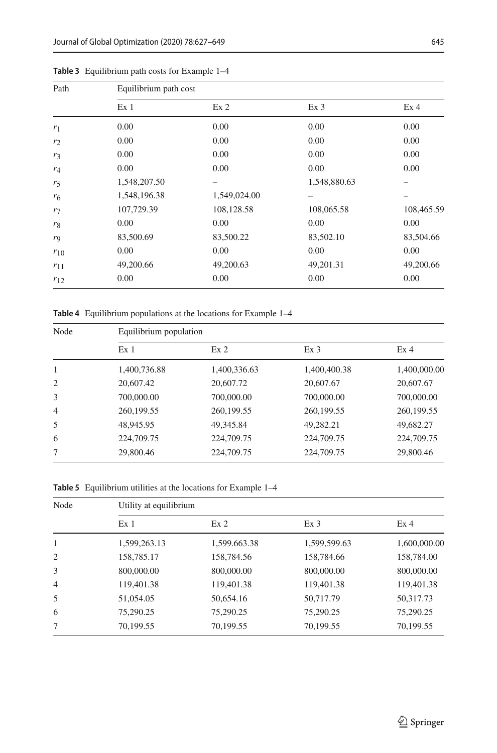| Path           | Equilibrium path cost |                 |                 |                 |  |
|----------------|-----------------------|-----------------|-----------------|-----------------|--|
|                | Ex <sub>1</sub>       | Ex <sub>2</sub> | Ex <sub>3</sub> | Ex <sub>4</sub> |  |
| r <sub>1</sub> | 0.00                  | 0.00            | 0.00            | 0.00            |  |
| r <sub>2</sub> | 0.00                  | 0.00            | 0.00            | 0.00            |  |
| r <sub>3</sub> | 0.00                  | 0.00            | 0.00            | 0.00            |  |
| $r_4$          | 0.00                  | 0.00            | 0.00            | 0.00            |  |
| r <sub>5</sub> | 1,548,207.50          | -               | 1,548,880.63    | -               |  |
| r <sub>6</sub> | 1,548,196.38          | 1,549,024.00    |                 |                 |  |
| r <sub>7</sub> | 107,729.39            | 108,128.58      | 108,065.58      | 108,465.59      |  |
| $r_8$          | 0.00                  | 0.00            | 0.00            | 0.00            |  |
| r <sub>9</sub> | 83,500.69             | 83,500.22       | 83,502.10       | 83,504.66       |  |
| $r_{10}$       | 0.00                  | 0.00            | 0.00            | 0.00            |  |
| $r_{11}$       | 49,200.66             | 49,200.63       | 49,201.31       | 49,200.66       |  |
| $r_{12}$       | 0.00                  | 0.00            | 0.00            | 0.00            |  |

<span id="page-18-0"></span>**Table 3** Equilibrium path costs for Example 1–4

<span id="page-18-1"></span>**Table 4** Equilibrium populations at the locations for Example 1–4

| Node | Equilibrium population |                 |                 |                 |  |
|------|------------------------|-----------------|-----------------|-----------------|--|
|      | Ex <sub>1</sub>        | Ex <sub>2</sub> | Ex <sub>3</sub> | Ex <sub>4</sub> |  |
| 1    | 1,400,736.88           | 1,400,336.63    | 1,400,400.38    | 1,400,000.00    |  |
| 2    | 20,607.42              | 20,607.72       | 20,607.67       | 20,607.67       |  |
| 3    | 700,000.00             | 700,000.00      | 700,000.00      | 700,000.00      |  |
| 4    | 260,199.55             | 260,199.55      | 260,199.55      | 260,199.55      |  |
| 5    | 48,945.95              | 49,345.84       | 49,282.21       | 49,682.27       |  |
| 6    | 224,709.75             | 224,709.75      | 224,709.75      | 224,709.75      |  |
| 7    | 29,800.46              | 224,709.75      | 224,709.75      | 29,800.46       |  |

<span id="page-18-2"></span>**Table 5** Equilibrium utilities at the locations for Example 1–4

| Node           | Utility at equilibrium |                 |                 |                 |  |
|----------------|------------------------|-----------------|-----------------|-----------------|--|
|                | Ex <sub>1</sub>        | Ex <sub>2</sub> | Ex <sub>3</sub> | Ex <sub>4</sub> |  |
| 1              | 1,599,263.13           | 1,599.663.38    | 1,599,599.63    | 1,600,000.00    |  |
| 2              | 158,785.17             | 158,784.56      | 158,784.66      | 158,784.00      |  |
| 3              | 800,000.00             | 800,000.00      | 800,000.00      | 800,000.00      |  |
| $\overline{4}$ | 119,401.38             | 119,401.38      | 119,401.38      | 119,401.38      |  |
| 5              | 51,054.05              | 50,654.16       | 50,717.79       | 50,317.73       |  |
| 6              | 75,290.25              | 75,290.25       | 75,290.25       | 75,290.25       |  |
| 7              | 70,199.55              | 70,199.55       | 70,199.55       | 70,199.55       |  |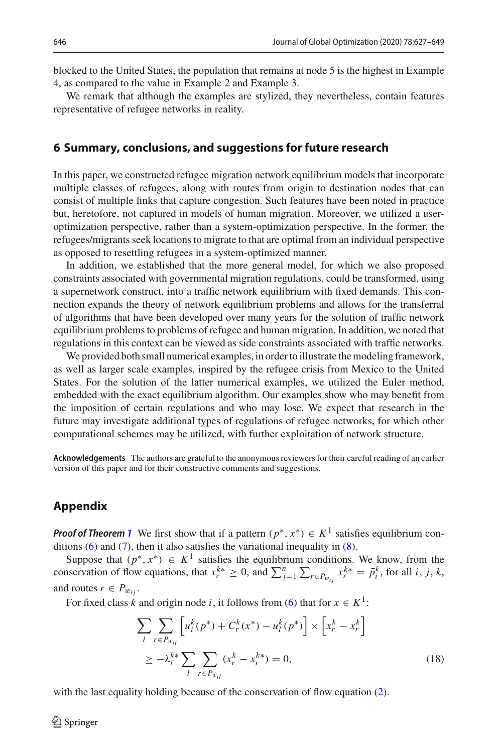blocked to the United States, the population that remains at node 5 is the highest in Example 4, as compared to the value in Example 2 and Example 3.

We remark that although the examples are stylized, they nevertheless, contain features representative of refugee networks in reality.

### <span id="page-19-0"></span>**6 Summary, conclusions, and suggestions for future research**

In this paper, we constructed refugee migration network equilibrium models that incorporate multiple classes of refugees, along with routes from origin to destination nodes that can consist of multiple links that capture congestion. Such features have been noted in practice but, heretofore, not captured in models of human migration. Moreover, we utilized a useroptimization perspective, rather than a system-optimization perspective. In the former, the refugees/migrants seek locations to migrate to that are optimal from an individual perspective as opposed to resettling refugees in a system-optimized manner.

In addition, we established that the more general model, for which we also proposed constraints associated with governmental migration regulations, could be transformed, using a supernetwork construct, into a traffic network equilibrium with fixed demands. This connection expands the theory of network equilibrium problems and allows for the transferral of algorithms that have been developed over many years for the solution of traffic network equilibrium problems to problems of refugee and human migration. In addition, we noted that regulations in this context can be viewed as side constraints associated with traffic networks.

We provided both small numerical examples, in order to illustrate the modeling framework, as well as larger scale examples, inspired by the refugee crisis from Mexico to the United States. For the solution of the latter numerical examples, we utilized the Euler method, embedded with the exact equilibrium algorithm. Our examples show who may benefit from the imposition of certain regulations and who may lose. We expect that research in the future may investigate additional types of regulations of refugee networks, for which other computational schemes may be utilized, with further exploitation of network structure.

**Acknowledgements** The authors are grateful to the anonymous reviewers for their careful reading of an earlier version of this paper and for their constructive comments and suggestions.

### **Appendix**

*Proof of Theorem* [1](#page-7-0) We first show that if a pattern  $(p^*, x^*) \in K^1$  satisfies equilibrium conditions  $(6)$  and  $(7)$ , then it also satisfies the variational inequality in  $(8)$ .

Suppose that  $(p^*, x^*) \in K^1$  satisfies the equilibrium conditions. We know, from the conservation of flow equations, that  $x_r^{k*} \ge 0$ , and  $\sum_{j=1}^n \sum_{r \in P_{w_{ij}}} x_r^{k*} = \bar{p}_i^k$ , for all *i*, *j*, *k*, and routes  $r \in P_{w_{ij}}$ .

For fixed class *k* and origin node *i*, it follows from [\(6\)](#page-6-1) that for  $x \in K^1$ :

<span id="page-19-1"></span>
$$
\sum_{l} \sum_{r \in P_{w_{il}}} \left[ u_i^k(p^*) + C_r^k(x^*) - u_l^k(p^*) \right] \times \left[ x_r^k - x_r^k \right]
$$
\n
$$
\ge -\lambda_i^{k*} \sum_{l} \sum_{r \in P_{w_{il}}} (x_r^k - x_r^{k*}) = 0,
$$
\n(18)

with the last equality holding because of the conservation of flow equation [\(2\)](#page-4-1).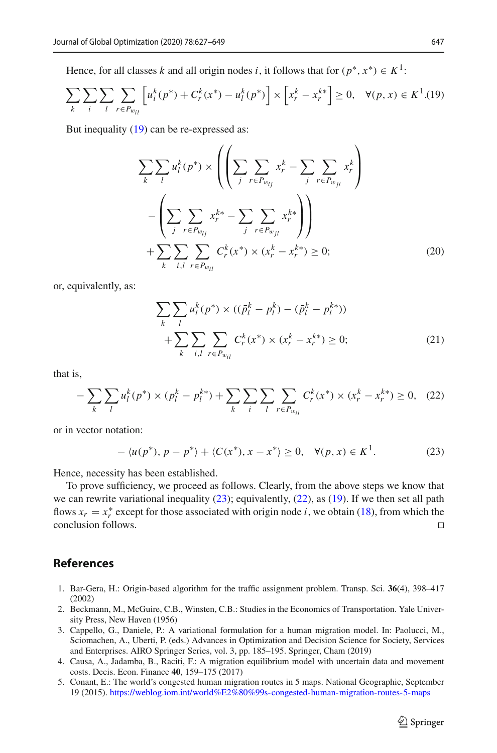Hence, for all classes *k* and all origin nodes *i*, it follows that for  $(p^*, x^*) \in K^1$ :

<span id="page-20-5"></span>
$$
\sum_{k} \sum_{i} \sum_{r} \sum_{r \in P_{w_{il}}} \left[ u_i^k(p^*) + C_r^k(x^*) - u_i^k(p^*) \right] \times \left[ x_r^k - x_r^{k*} \right] \ge 0, \quad \forall (p, x) \in K^1.(19)
$$

But inequality [\(19\)](#page-20-5) can be re-expressed as:

$$
\sum_{k} \sum_{l} u_{l}^{k}(p^{*}) \times \left( \left( \sum_{j} \sum_{r \in P_{w_{lj}}} x_{r}^{k} - \sum_{j} \sum_{r \in P_{w_{jl}}} x_{r}^{k} \right) - \left( \sum_{j} \sum_{r \in P_{w_{jl}}} x_{r}^{k*} - \sum_{j} \sum_{r \in P_{w_{jl}}} x_{r}^{k*} \right) \right) + \sum_{k} \sum_{i,l} \sum_{r \in P_{w_{il}}} C_{r}^{k}(x^{*}) \times (x_{r}^{k} - x_{r}^{k*}) \ge 0; \tag{20}
$$

or, equivalently, as:

$$
\sum_{k} \sum_{l} u_{l}^{k}(p^{*}) \times ((\bar{p}_{l}^{k} - p_{l}^{k}) - (\bar{p}_{l}^{k} - p_{l}^{k*})) \n+ \sum_{k} \sum_{i,l} \sum_{r \in P_{w_{il}}} C_{r}^{k}(x^{*}) \times (x_{r}^{k} - x_{r}^{k*}) \geq 0; \tag{21}
$$

that is,

<span id="page-20-7"></span>
$$
-\sum_{k}\sum_{l} u_{l}^{k}(p^{*}) \times (p_{l}^{k} - p_{l}^{k*}) + \sum_{k}\sum_{i}\sum_{l} \sum_{r \in P_{w_{il}}} C_{r}^{k}(x^{*}) \times (x_{r}^{k} - x_{r}^{k*}) \ge 0, \quad (22)
$$

or in vector notation:

<span id="page-20-6"></span>
$$
-\langle u(p^*), p - p^* \rangle + \langle C(x^*), x - x^* \rangle \ge 0, \quad \forall (p, x) \in K^1.
$$
 (23)

Hence, necessity has been established.

To prove sufficiency, we proceed as follows. Clearly, from the above steps we know that we can rewrite variational inequality  $(23)$ ; equivalently,  $(22)$ , as  $(19)$ . If we then set all path flows  $x_r = x_r^*$  except for those associated with origin node *i*, we obtain [\(18\)](#page-19-1), from which the conclusion follows. 

### **References**

- <span id="page-20-4"></span>1. Bar-Gera, H.: Origin-based algorithm for the traffic assignment problem. Transp. Sci. **36**(4), 398–417 (2002)
- <span id="page-20-3"></span>2. Beckmann, M., McGuire, C.B., Winsten, C.B.: Studies in the Economics of Transportation. Yale University Press, New Haven (1956)
- <span id="page-20-2"></span>3. Cappello, G., Daniele, P.: A variational formulation for a human migration model. In: Paolucci, M., Sciomachen, A., Uberti, P. (eds.) Advances in Optimization and Decision Science for Society, Services and Enterprises. AIRO Springer Series, vol. 3, pp. 185–195. Springer, Cham (2019)
- <span id="page-20-1"></span>4. Causa, A., Jadamba, B., Raciti, F.: A migration equilibrium model with uncertain data and movement costs. Decis. Econ. Finance **40**, 159–175 (2017)
- <span id="page-20-0"></span>5. Conant, E.: The world's congested human migration routes in 5 maps. National Geographic, September 19 (2015). <https://weblog.iom.int/world%E2%80%99s-congested-human-migration-routes-5-maps>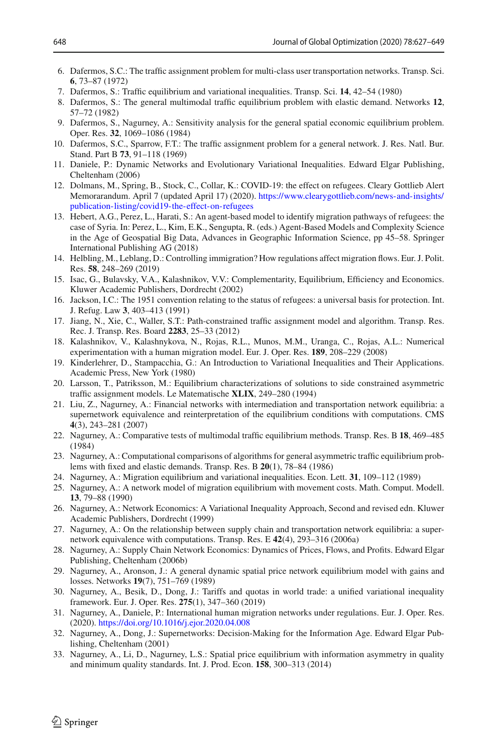- <span id="page-21-25"></span>6. Dafermos, S.C.: The traffic assignment problem for multi-class user transportation networks. Transp. Sci. **6**, 73–87 (1972)
- <span id="page-21-11"></span>7. Dafermos, S.: Traffic equilibrium and variational inequalities. Transp. Sci. **14**, 42–54 (1980)
- <span id="page-21-12"></span>8. Dafermos, S.: The general multimodal traffic equilibrium problem with elastic demand. Networks **12**, 57–72 (1982)
- <span id="page-21-13"></span>9. Dafermos, S., Nagurney, A.: Sensitivity analysis for the general spatial economic equilibrium problem. Oper. Res. **32**, 1069–1086 (1984)
- <span id="page-21-17"></span>10. Dafermos, S.C., Sparrow, F.T.: The traffic assignment problem for a general network. J. Res. Natl. Bur. Stand. Part B **73**, 91–118 (1969)
- <span id="page-21-8"></span>11. Daniele, P.: Dynamic Networks and Evolutionary Variational Inequalities. Edward Elgar Publishing, Cheltenham (2006)
- <span id="page-21-0"></span>12. Dolmans, M., Spring, B., Stock, C., Collar, K.: COVID-19: the effect on refugees. Cleary Gottlieb Alert Memorarandum. April 7 (updated April 17) (2020). [https://www.clearygottlieb.com/news-and-insights/](https://www.clearygottlieb.com/news-and-insights/publication-listing/covid19-the-effect-on-refugees) [publication-listing/covid19-the-effect-on-refugees](https://www.clearygottlieb.com/news-and-insights/publication-listing/covid19-the-effect-on-refugees)
- <span id="page-21-2"></span>13. Hebert, A.G., Perez, L., Harati, S.: An agent-based model to identify migration pathways of refugees: the case of Syria. In: Perez, L., Kim, E.K., Sengupta, R. (eds.) Agent-Based Models and Complexity Science in the Age of Geospatial Big Data, Advances in Geographic Information Science, pp 45–58. Springer International Publishing AG (2018)
- <span id="page-21-4"></span>14. Helbling, M., Leblang, D.: Controlling immigration? How regulations affect migration flows. Eur. J. Polit. Res. **58**, 248–269 (2019)
- <span id="page-21-10"></span>15. Isac, G., Bulavsky, V.A., Kalashnikov, V.V.: Complementarity, Equilibrium, Efficiency and Economics. Kluwer Academic Publishers, Dordrecht (2002)
- <span id="page-21-1"></span>16. Jackson, I.C.: The 1951 convention relating to the status of refugees: a universal basis for protection. Int. J. Refug. Law **3**, 403–413 (1991)
- <span id="page-21-20"></span>17. Jiang, N., Xie, C., Waller, S.T.: Path-constrained traffic assignment model and algorithm. Transp. Res. Rec. J. Transp. Res. Board **2283**, 25–33 (2012)
- <span id="page-21-9"></span>18. Kalashnikov, V., Kalashnykova, N., Rojas, R.L., Munos, M.M., Uranga, C., Rojas, A.L.: Numerical experimentation with a human migration model. Eur. J. Oper. Res. **189**, 208–229 (2008)
- <span id="page-21-24"></span>19. Kinderlehrer, D., Stampacchia, G.: An Introduction to Variational Inequalities and Their Applications. Academic Press, New York (1980)
- <span id="page-21-21"></span>20. Larsson, T., Patriksson, M.: Equilibrium characterizations of solutions to side constrained asymmetric traffic assignment models. Le Matematische **XLIX**, 249–280 (1994)
- <span id="page-21-19"></span>21. Liu, Z., Nagurney, A.: Financial networks with intermediation and transportation network equilibria: a supernetwork equivalence and reinterpretation of the equilibrium conditions with computations. CMS **4**(3), 243–281 (2007)
- <span id="page-21-26"></span>22. Nagurney, A.: Comparative tests of multimodal traffic equilibrium methods. Transp. Res. B **18**, 469–485 (1984)
- <span id="page-21-27"></span>23. Nagurney, A.: Computational comparisons of algorithms for general asymmetric traffic equilibrium problems with fixed and elastic demands. Transp. Res. B **20**(1), 78–84 (1986)
- <span id="page-21-5"></span>24. Nagurney, A.: Migration equilibrium and variational inequalities. Econ. Lett. **31**, 109–112 (1989)
- <span id="page-21-6"></span>25. Nagurney, A.: A network model of migration equilibrium with movement costs. Math. Comput. Modell. **13**, 79–88 (1990)
- <span id="page-21-7"></span>26. Nagurney, A.: Network Economics: A Variational Inequality Approach, Second and revised edn. Kluwer Academic Publishers, Dordrecht (1999)
- <span id="page-21-15"></span>27. Nagurney, A.: On the relationship between supply chain and transportation network equilibria: a supernetwork equivalence with computations. Transp. Res. E **42**(4), 293–316 (2006a)
- <span id="page-21-16"></span>28. Nagurney, A.: Supply Chain Network Economics: Dynamics of Prices, Flows, and Profits. Edward Elgar Publishing, Cheltenham (2006b)
- <span id="page-21-14"></span>29. Nagurney, A., Aronson, J.: A general dynamic spatial price network equilibrium model with gains and losses. Networks **19**(7), 751–769 (1989)
- <span id="page-21-22"></span>30. Nagurney, A., Besik, D., Dong, J.: Tariffs and quotas in world trade: a unified variational inequality framework. Eur. J. Oper. Res. **275**(1), 347–360 (2019)
- <span id="page-21-3"></span>31. Nagurney, A., Daniele, P.: International human migration networks under regulations. Eur. J. Oper. Res. (2020). <https://doi.org/10.1016/j.ejor.2020.04.008>
- <span id="page-21-18"></span>32. Nagurney, A., Dong, J.: Supernetworks: Decision-Making for the Information Age. Edward Elgar Publishing, Cheltenham (2001)
- <span id="page-21-23"></span>33. Nagurney, A., Li, D., Nagurney, L.S.: Spatial price equilibrium with information asymmetry in quality and minimum quality standards. Int. J. Prod. Econ. **158**, 300–313 (2014)